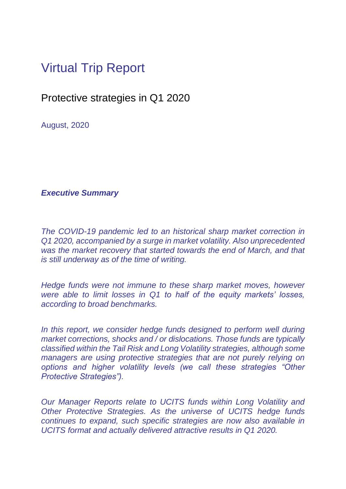## Virtual Trip Report

Protective strategies in Q1 2020

August, 2020

## *Executive Summary*

*The COVID-19 pandemic led to an historical sharp market correction in Q1 2020, accompanied by a surge in market volatility. Also unprecedented was the market recovery that started towards the end of March, and that is still underway as of the time of writing.*

*Hedge funds were not immune to these sharp market moves, however were able to limit losses in Q1 to half of the equity markets' losses, according to broad benchmarks.*

*In this report, we consider hedge funds designed to perform well during market corrections, shocks and / or dislocations. Those funds are typically classified within the Tail Risk and Long Volatility strategies, although some managers are using protective strategies that are not purely relying on options and higher volatility levels (we call these strategies "Other Protective Strategies").*

*Our Manager Reports relate to UCITS funds within Long Volatility and Other Protective Strategies. As the universe of UCITS hedge funds continues to expand, such specific strategies are now also available in UCITS format and actually delivered attractive results in Q1 2020.*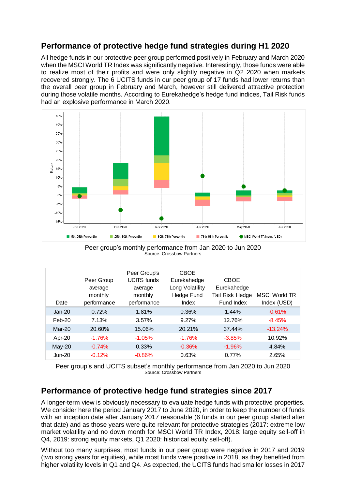## **Performance of protective hedge fund strategies during H1 2020**

All hedge funds in our protective peer group performed positively in February and March 2020 when the MSCI World TR Index was significantly negative. Interestingly, those funds were able to realize most of their profits and were only slightly negative in Q2 2020 when markets recovered strongly. The 6 UCITS funds in our peer group of 17 funds had lower returns than the overall peer group in February and March, however still delivered attractive protection during those volatile months. According to Eurekahedge's hedge fund indices, Tail Risk funds had an explosive performance in March 2020.



Peer group's monthly performance from Jan 2020 to Jun 2020 Source: Crossbow Partners

|                                                                                                                                                                                                                                                                                                                                                                                                                                                                                                                                                                          | Date          | Peer Group<br>average<br>monthly<br>performance | Peer Group's<br><b>UCITS</b> funds<br>average<br>monthly<br>performance | <b>CBOE</b><br>Eurekahedge<br>Long Volatility<br>Hedge Fund<br>Index | <b>CBOE</b><br>Eurekahedge<br>Tail Risk Hedge<br>Fund Index                                                                                                                                                                                                                                  | <b>MSCI World TR</b><br>Index (USD) |  |  |  |  |
|--------------------------------------------------------------------------------------------------------------------------------------------------------------------------------------------------------------------------------------------------------------------------------------------------------------------------------------------------------------------------------------------------------------------------------------------------------------------------------------------------------------------------------------------------------------------------|---------------|-------------------------------------------------|-------------------------------------------------------------------------|----------------------------------------------------------------------|----------------------------------------------------------------------------------------------------------------------------------------------------------------------------------------------------------------------------------------------------------------------------------------------|-------------------------------------|--|--|--|--|
|                                                                                                                                                                                                                                                                                                                                                                                                                                                                                                                                                                          | <b>Jan-20</b> | 0.72%                                           | 1.81%                                                                   | 0.36%                                                                | 1.44%                                                                                                                                                                                                                                                                                        | $-0.61%$                            |  |  |  |  |
|                                                                                                                                                                                                                                                                                                                                                                                                                                                                                                                                                                          | Feb-20        | 7.13%                                           | 3.57%                                                                   | 9.27%                                                                | 12.76%                                                                                                                                                                                                                                                                                       | $-8.45%$                            |  |  |  |  |
|                                                                                                                                                                                                                                                                                                                                                                                                                                                                                                                                                                          | Mar-20        | 20.60%                                          | 15.06%                                                                  | 20.21%                                                               | 37.44%                                                                                                                                                                                                                                                                                       | $-13.24%$                           |  |  |  |  |
|                                                                                                                                                                                                                                                                                                                                                                                                                                                                                                                                                                          | Apr-20        | $-1.76%$                                        | $-1.05%$                                                                | $-1.76%$                                                             | $-3.85%$                                                                                                                                                                                                                                                                                     | 10.92%                              |  |  |  |  |
|                                                                                                                                                                                                                                                                                                                                                                                                                                                                                                                                                                          | May-20        | $-0.74%$                                        | 0.33%                                                                   | $-0.36%$                                                             | $-1.96%$                                                                                                                                                                                                                                                                                     | 4.84%                               |  |  |  |  |
|                                                                                                                                                                                                                                                                                                                                                                                                                                                                                                                                                                          | <b>Jun-20</b> | $-0.12%$                                        | $-0.86%$                                                                | 0.63%                                                                | 0.77%                                                                                                                                                                                                                                                                                        | 2.65%                               |  |  |  |  |
| Source: Crossbow Partners<br>Performance of protective hedge fund strategies since 2017                                                                                                                                                                                                                                                                                                                                                                                                                                                                                  |               |                                                 |                                                                         |                                                                      |                                                                                                                                                                                                                                                                                              |                                     |  |  |  |  |
| A longer-term view is obviously necessary to evaluate hedge funds with protective properties.<br>We consider here the period January 2017 to June 2020, in order to keep the number of funds<br>with an inception date after January 2017 reasonable (6 funds in our peer group started after<br>that date) and as those years were quite relevant for protective strategies (2017: extreme low<br>market volatility and no down month for MSCI World TR Index, 2018: large equity sell-off in<br>Q4, 2019: strong equity markets, Q1 2020: historical equity sell-off). |               |                                                 |                                                                         |                                                                      |                                                                                                                                                                                                                                                                                              |                                     |  |  |  |  |
|                                                                                                                                                                                                                                                                                                                                                                                                                                                                                                                                                                          |               |                                                 |                                                                         |                                                                      | Without too many surprises, most funds in our peer group were negative in 2017 and 2019<br>(two strong years for equities), while most funds were positive in 2018, as they benefited from<br>higher volatility levels in Q1 and Q4. As expected, the UCITS funds had smaller losses in 2017 |                                     |  |  |  |  |

## **Performance of protective hedge fund strategies since 2017**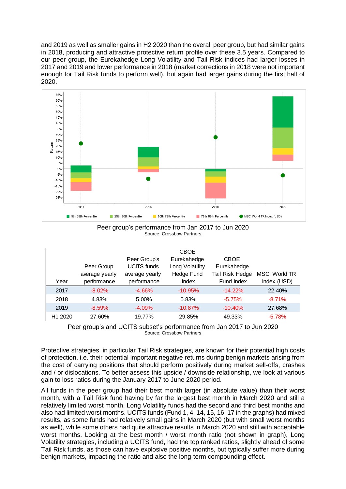and 2019 as well as smaller gains in H2 2020 than the overall peer group, but had similar gains in 2018, producing and attractive protective return profile over these 3.5 years. Compared to our peer group, the Eurekahedge Long Volatility and Tail Risk indices had larger losses in 2017 and 2019 and lower performance in 2018 (market corrections in 2018 were not important enough for Tail Risk funds to perform well), but again had larger gains during the first half of 2020.



Peer group's performance from Jan 2017 to Jun 2020 Source: Crossbow Partners

| Year                | Peer Group<br>average yearly<br>performance | Peer Group's<br><b>UCITS</b> funds<br>average yearly<br>performance | <b>CBOE</b><br>Eurekahedge<br>Long Volatility<br>Hedge Fund<br>Index | <b>CBOE</b><br>Eurekahedge<br>Tail Risk Hedge<br>Fund Index | <b>MSCI World TR</b><br>Index (USD) |
|---------------------|---------------------------------------------|---------------------------------------------------------------------|----------------------------------------------------------------------|-------------------------------------------------------------|-------------------------------------|
| 2017                | $-8.02\%$                                   | $-4.66%$                                                            | $-10.95%$                                                            | $-14.22%$                                                   | 22.40%                              |
| 2018                | 4.83%                                       | 5.00%                                                               | 0.83%                                                                | $-5.75%$                                                    | $-8.71%$                            |
| 2019                | $-8.59%$                                    | $-4.09%$                                                            | $-10.87\%$                                                           | $-10.40\%$                                                  | 27.68%                              |
| H <sub>1</sub> 2020 | 27.60%                                      | 19.77%                                                              | 29.85%                                                               | 49.33%                                                      | $-5.78%$                            |



Protective strategies, in particular Tail Risk strategies, are known for their potential high costs of protection, i.e. their potential important negative returns during benign markets arising from the cost of carrying positions that should perform positively during market sell-offs, crashes and / or dislocations. To better assess this upside / downside relationship, we look at various gain to loss ratios during the January 2017 to June 2020 period.

All funds in the peer group had their best month larger (in absolute value) than their worst month, with a Tail Risk fund having by far the largest best month in March 2020 and still a relatively limited worst month. Long Volatility funds had the second and third best months and also had limited worst months. UCITS funds (Fund 1, 4, 14, 15, 16, 17 in the graphs) had mixed results, as some funds had relatively small gains in March 2020 (but with small worst months as well), while some others had quite attractive results in March 2020 and still with acceptable worst months. Looking at the best month / worst month ratio (not shown in graph), Long Volatility strategies, including a UCITS fund, had the top ranked ratios, slightly ahead of some Tail Risk funds, as those can have explosive positive months, but typically suffer more during benign markets, impacting the ratio and also the long-term compounding effect.